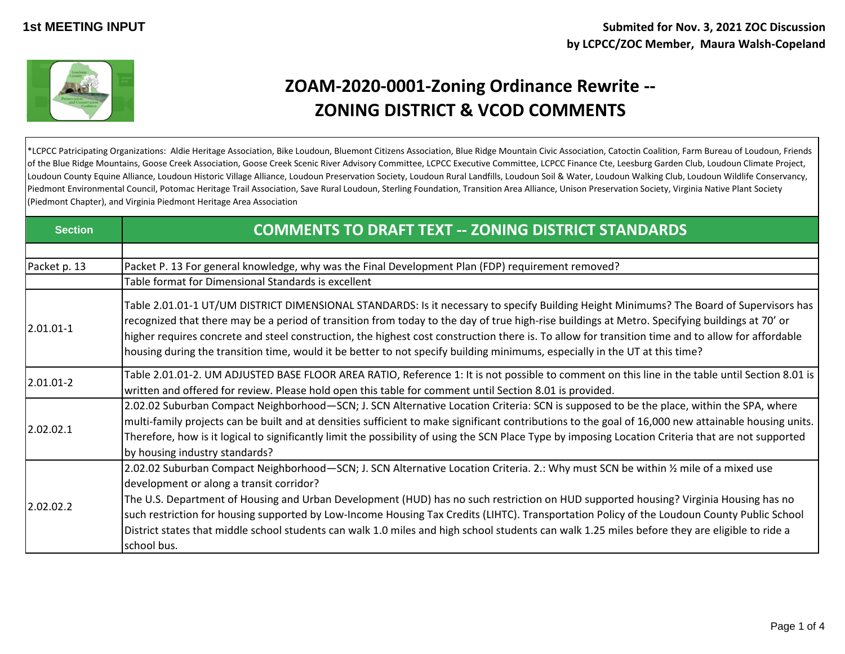

## **ZOAM-2020-0001-Zoning Ordinance Rewrite -- ZONING DISTRICT & VCOD COMMENTS**

\*LCPCC Patricipating Organizations: Aldie Heritage Association, Bike Loudoun, Bluemont Citizens Association, Blue Ridge Mountain Civic Association, Catoctin Coalition, Farm Bureau of Loudoun, Friends of the Blue Ridge Mountains, Goose Creek Association, Goose Creek Scenic River Advisory Committee, LCPCC Executive Committee, LCPCC Finance Cte, Leesburg Garden Club, Loudoun Climate Project, Loudoun County Equine Alliance, Loudoun Historic Village Alliance, Loudoun Preservation Society, Loudoun Rural Landfills, Loudoun Soil & Water, Loudoun Walking Club, Loudoun Wildlife Conservancy, Piedmont Environmental Council, Potomac Heritage Trail Association, Save Rural Loudoun, Sterling Foundation, Transition Area Alliance, Unison Preservation Society, Virginia Native Plant Society (Piedmont Chapter), and Virginia Piedmont Heritage Area Association

| <b>Section</b> | <b>COMMENTS TO DRAFT TEXT -- ZONING DISTRICT STANDARDS</b>                                                                                                                                                                                                                                                                                                                                                                                                                                                                                                                                                                              |
|----------------|-----------------------------------------------------------------------------------------------------------------------------------------------------------------------------------------------------------------------------------------------------------------------------------------------------------------------------------------------------------------------------------------------------------------------------------------------------------------------------------------------------------------------------------------------------------------------------------------------------------------------------------------|
|                |                                                                                                                                                                                                                                                                                                                                                                                                                                                                                                                                                                                                                                         |
| Packet p. 13   | Packet P. 13 For general knowledge, why was the Final Development Plan (FDP) requirement removed?                                                                                                                                                                                                                                                                                                                                                                                                                                                                                                                                       |
|                | Table format for Dimensional Standards is excellent                                                                                                                                                                                                                                                                                                                                                                                                                                                                                                                                                                                     |
| $2.01.01 - 1$  | Table 2.01.01-1 UT/UM DISTRICT DIMENSIONAL STANDARDS: Is it necessary to specify Building Height Minimums? The Board of Supervisors has<br>recognized that there may be a period of transition from today to the day of true high-rise buildings at Metro. Specifying buildings at 70' or<br>higher requires concrete and steel construction, the highest cost construction there is. To allow for transition time and to allow for affordable<br>housing during the transition time, would it be better to not specify building minimums, especially in the UT at this time?                                                           |
| $2.01.01 - 2$  | Table 2.01.01-2. UM ADJUSTED BASE FLOOR AREA RATIO, Reference 1: It is not possible to comment on this line in the table until Section 8.01 is<br>written and offered for review. Please hold open this table for comment until Section 8.01 is provided.                                                                                                                                                                                                                                                                                                                                                                               |
| 2.02.02.1      | 2.02.02 Suburban Compact Neighborhood—SCN; J. SCN Alternative Location Criteria: SCN is supposed to be the place, within the SPA, where<br>multi-family projects can be built and at densities sufficient to make significant contributions to the goal of 16,000 new attainable housing units.<br>Therefore, how is it logical to significantly limit the possibility of using the SCN Place Type by imposing Location Criteria that are not supported<br>by housing industry standards?                                                                                                                                               |
| 2.02.02.2      | 2.02.02 Suburban Compact Neighborhood—SCN; J. SCN Alternative Location Criteria. 2.: Why must SCN be within 1/2 mile of a mixed use<br>development or along a transit corridor?<br>The U.S. Department of Housing and Urban Development (HUD) has no such restriction on HUD supported housing? Virginia Housing has no<br>such restriction for housing supported by Low-Income Housing Tax Credits (LIHTC). Transportation Policy of the Loudoun County Public School<br>District states that middle school students can walk 1.0 miles and high school students can walk 1.25 miles before they are eligible to ride a<br>school bus. |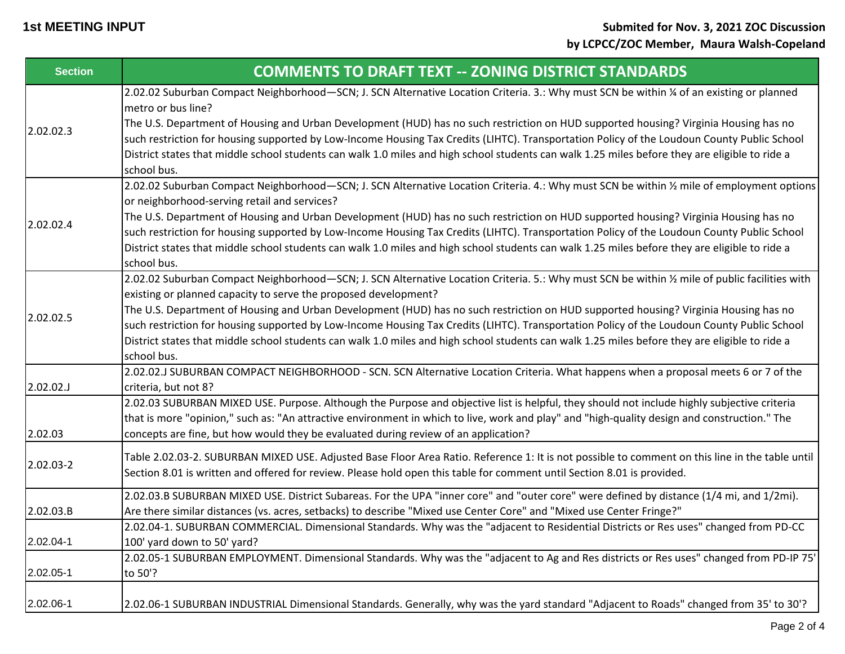| <b>Section</b> | <b>COMMENTS TO DRAFT TEXT -- ZONING DISTRICT STANDARDS</b>                                                                                                                                 |
|----------------|--------------------------------------------------------------------------------------------------------------------------------------------------------------------------------------------|
| 2.02.02.3      | 2.02.02 Suburban Compact Neighborhood-SCN; J. SCN Alternative Location Criteria. 3.: Why must SCN be within % of an existing or planned<br>metro or bus line?                              |
|                | The U.S. Department of Housing and Urban Development (HUD) has no such restriction on HUD supported housing? Virginia Housing has no                                                       |
|                | such restriction for housing supported by Low-Income Housing Tax Credits (LIHTC). Transportation Policy of the Loudoun County Public School                                                |
|                | District states that middle school students can walk 1.0 miles and high school students can walk 1.25 miles before they are eligible to ride a<br>school bus.                              |
| 2.02.02.4      | 2.02.02 Suburban Compact Neighborhood-SCN; J. SCN Alternative Location Criteria. 4.: Why must SCN be within 1/2 mile of employment options<br>or neighborhood-serving retail and services? |
|                | The U.S. Department of Housing and Urban Development (HUD) has no such restriction on HUD supported housing? Virginia Housing has no                                                       |
|                | such restriction for housing supported by Low-Income Housing Tax Credits (LIHTC). Transportation Policy of the Loudoun County Public School                                                |
|                | District states that middle school students can walk 1.0 miles and high school students can walk 1.25 miles before they are eligible to ride a<br>school bus.                              |
|                | 2.02.02 Suburban Compact Neighborhood-SCN; J. SCN Alternative Location Criteria. 5.: Why must SCN be within 1/2 mile of public facilities with                                             |
|                | existing or planned capacity to serve the proposed development?                                                                                                                            |
| 2.02.02.5      | The U.S. Department of Housing and Urban Development (HUD) has no such restriction on HUD supported housing? Virginia Housing has no                                                       |
|                | such restriction for housing supported by Low-Income Housing Tax Credits (LIHTC). Transportation Policy of the Loudoun County Public School                                                |
|                | District states that middle school students can walk 1.0 miles and high school students can walk 1.25 miles before they are eligible to ride a<br>school bus.                              |
|                | 2.02.02.J SUBURBAN COMPACT NEIGHBORHOOD - SCN. SCN Alternative Location Criteria. What happens when a proposal meets 6 or 7 of the                                                         |
| 2.02.02.J      | criteria, but not 8?                                                                                                                                                                       |
|                | 2.02.03 SUBURBAN MIXED USE. Purpose. Although the Purpose and objective list is helpful, they should not include highly subjective criteria                                                |
|                | that is more "opinion," such as: "An attractive environment in which to live, work and play" and "high-quality design and construction." The                                               |
| 2.02.03        | concepts are fine, but how would they be evaluated during review of an application?                                                                                                        |
| 2.02.03-2      | Table 2.02.03-2. SUBURBAN MIXED USE. Adjusted Base Floor Area Ratio. Reference 1: It is not possible to comment on this line in the table until                                            |
|                | Section 8.01 is written and offered for review. Please hold open this table for comment until Section 8.01 is provided.                                                                    |
|                | 2.02.03.B SUBURBAN MIXED USE. District Subareas. For the UPA "inner core" and "outer core" were defined by distance (1/4 mi, and 1/2mi).                                                   |
| 2.02.03.B      | Are there similar distances (vs. acres, setbacks) to describe "Mixed use Center Core" and "Mixed use Center Fringe?"                                                                       |
|                | 2.02.04-1. SUBURBAN COMMERCIAL. Dimensional Standards. Why was the "adjacent to Residential Districts or Res uses" changed from PD-CC                                                      |
| 2.02.04-1      | 100' yard down to 50' yard?                                                                                                                                                                |
|                | 2.02.05-1 SUBURBAN EMPLOYMENT. Dimensional Standards. Why was the "adjacent to Ag and Res districts or Res uses" changed from PD-IP 75'                                                    |
| 2.02.05-1      | to 50'?                                                                                                                                                                                    |
| 2.02.06-1      | 2.02.06-1 SUBURBAN INDUSTRIAL Dimensional Standards. Generally, why was the yard standard "Adjacent to Roads" changed from 35' to 30'?                                                     |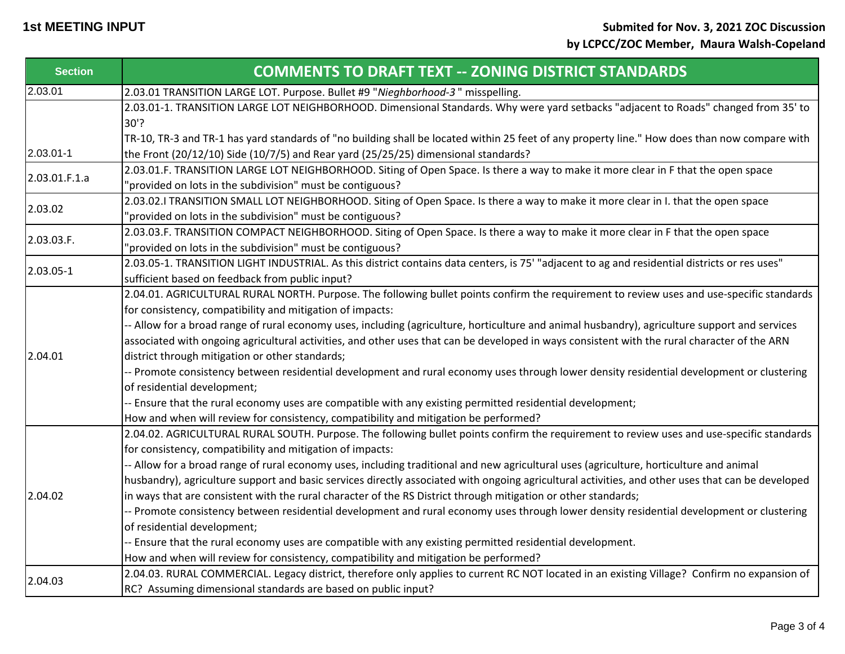| <b>Section</b> | <b>COMMENTS TO DRAFT TEXT -- ZONING DISTRICT STANDARDS</b>                                                                                                                                                                                                                                                                                                                                                                                                                                                                                                                                                                                                                                                                                                                                                                                                                                   |
|----------------|----------------------------------------------------------------------------------------------------------------------------------------------------------------------------------------------------------------------------------------------------------------------------------------------------------------------------------------------------------------------------------------------------------------------------------------------------------------------------------------------------------------------------------------------------------------------------------------------------------------------------------------------------------------------------------------------------------------------------------------------------------------------------------------------------------------------------------------------------------------------------------------------|
| 2.03.01        | 2.03.01 TRANSITION LARGE LOT. Purpose. Bullet #9 "Nieghborhood-3" misspelling.                                                                                                                                                                                                                                                                                                                                                                                                                                                                                                                                                                                                                                                                                                                                                                                                               |
|                | 2.03.01-1. TRANSITION LARGE LOT NEIGHBORHOOD. Dimensional Standards. Why were yard setbacks "adjacent to Roads" changed from 35' to<br>$30'$ ?                                                                                                                                                                                                                                                                                                                                                                                                                                                                                                                                                                                                                                                                                                                                               |
|                | TR-10, TR-3 and TR-1 has yard standards of "no building shall be located within 25 feet of any property line." How does than now compare with                                                                                                                                                                                                                                                                                                                                                                                                                                                                                                                                                                                                                                                                                                                                                |
| 2.03.01-1      | the Front (20/12/10) Side (10/7/5) and Rear yard (25/25/25) dimensional standards?                                                                                                                                                                                                                                                                                                                                                                                                                                                                                                                                                                                                                                                                                                                                                                                                           |
| 2.03.01.F.1.a  | 2.03.01.F. TRANSITION LARGE LOT NEIGHBORHOOD. Siting of Open Space. Is there a way to make it more clear in F that the open space<br>"provided on lots in the subdivision" must be contiguous?                                                                                                                                                                                                                                                                                                                                                                                                                                                                                                                                                                                                                                                                                               |
| 2.03.02        | 2.03.02.I TRANSITION SMALL LOT NEIGHBORHOOD. Siting of Open Space. Is there a way to make it more clear in I. that the open space<br>"provided on lots in the subdivision" must be contiguous?                                                                                                                                                                                                                                                                                                                                                                                                                                                                                                                                                                                                                                                                                               |
| 2.03.03.F.     | 2.03.03.F. TRANSITION COMPACT NEIGHBORHOOD. Siting of Open Space. Is there a way to make it more clear in F that the open space<br>'provided on lots in the subdivision" must be contiguous?                                                                                                                                                                                                                                                                                                                                                                                                                                                                                                                                                                                                                                                                                                 |
| 2.03.05-1      | 2.03.05-1. TRANSITION LIGHT INDUSTRIAL. As this district contains data centers, is 75' "adjacent to ag and residential districts or res uses"<br>sufficient based on feedback from public input?                                                                                                                                                                                                                                                                                                                                                                                                                                                                                                                                                                                                                                                                                             |
|                | 2.04.01. AGRICULTURAL RURAL NORTH. Purpose. The following bullet points confirm the requirement to review uses and use-specific standards<br>for consistency, compatibility and mitigation of impacts:<br>-- Allow for a broad range of rural economy uses, including (agriculture, horticulture and animal husbandry), agriculture support and services<br>associated with ongoing agricultural activities, and other uses that can be developed in ways consistent with the rural character of the ARN                                                                                                                                                                                                                                                                                                                                                                                     |
| 2.04.01        | district through mitigation or other standards;<br>-- Promote consistency between residential development and rural economy uses through lower density residential development or clustering<br>of residential development;<br>-- Ensure that the rural economy uses are compatible with any existing permitted residential development;                                                                                                                                                                                                                                                                                                                                                                                                                                                                                                                                                     |
| 2.04.02        | How and when will review for consistency, compatibility and mitigation be performed?<br>2.04.02. AGRICULTURAL RURAL SOUTH. Purpose. The following bullet points confirm the requirement to review uses and use-specific standards<br>for consistency, compatibility and mitigation of impacts:<br>-- Allow for a broad range of rural economy uses, including traditional and new agricultural uses (agriculture, horticulture and animal<br>husbandry), agriculture support and basic services directly associated with ongoing agricultural activities, and other uses that can be developed<br>in ways that are consistent with the rural character of the RS District through mitigation or other standards;<br>-- Promote consistency between residential development and rural economy uses through lower density residential development or clustering<br>of residential development; |
|                | -- Ensure that the rural economy uses are compatible with any existing permitted residential development.<br>How and when will review for consistency, compatibility and mitigation be performed?                                                                                                                                                                                                                                                                                                                                                                                                                                                                                                                                                                                                                                                                                            |
| 2.04.03        | 2.04.03. RURAL COMMERCIAL. Legacy district, therefore only applies to current RC NOT located in an existing Village? Confirm no expansion of<br>RC? Assuming dimensional standards are based on public input?                                                                                                                                                                                                                                                                                                                                                                                                                                                                                                                                                                                                                                                                                |